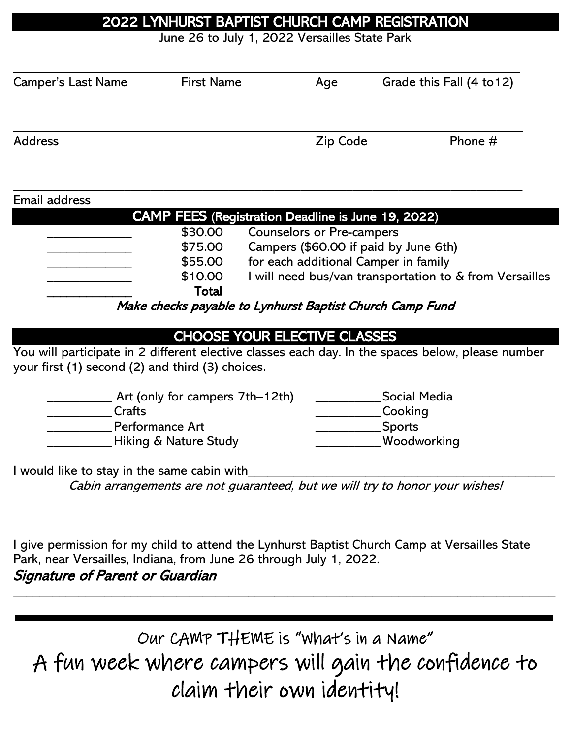## 2022 LYNHURST BAPTIST CHURCH CAMP REGISTRATION

June 26 to July 1, 2022 Versailles State Park

| <b>Camper's Last Name</b>                                          | <b>First Name</b>                                        |  | Age                              | Grade this Fall (4 to 12)                                                                         |
|--------------------------------------------------------------------|----------------------------------------------------------|--|----------------------------------|---------------------------------------------------------------------------------------------------|
| <b>Address</b>                                                     |                                                          |  | Zip Code                         | Phone #                                                                                           |
| Email address                                                      |                                                          |  |                                  |                                                                                                   |
|                                                                    | CAMP FEES (Registration Deadline is June 19, 2022)       |  |                                  |                                                                                                   |
|                                                                    | \$30.00                                                  |  | <b>Counselors or Pre-campers</b> |                                                                                                   |
|                                                                    | \$75.00                                                  |  |                                  | Campers (\$60.00 if paid by June 6th)                                                             |
|                                                                    | \$55.00                                                  |  |                                  | for each additional Camper in family                                                              |
|                                                                    | \$10.00                                                  |  |                                  | I will need bus/van transportation to & from Versailles                                           |
|                                                                    | Total                                                    |  |                                  |                                                                                                   |
|                                                                    | Make checks payable to Lynhurst Baptist Church Camp Fund |  |                                  |                                                                                                   |
|                                                                    | <b>CHOOSE YOUR ELECTIVE CLASSES</b>                      |  |                                  |                                                                                                   |
| your first (1) second (2) and third (3) choices.                   |                                                          |  |                                  | You will participate in 2 different elective classes each day. In the spaces below, please number |
|                                                                    | Art (only for campers 7th–12th)                          |  |                                  | <b>Social Media</b>                                                                               |
| Crafts                                                             |                                                          |  |                                  | Cooking                                                                                           |
|                                                                    | Performance Art                                          |  |                                  | <b>Sports</b>                                                                                     |
| Hiking & Nature Study                                              |                                                          |  |                                  | Woodworking                                                                                       |
| I would like to stay in the same cabin with                        |                                                          |  |                                  |                                                                                                   |
|                                                                    |                                                          |  |                                  | Cabin arrangements are not guaranteed, but we will try to honor your wishes!                      |
|                                                                    |                                                          |  |                                  |                                                                                                   |
| Park, near Versailles, Indiana, from June 26 through July 1, 2022. |                                                          |  |                                  | I give permission for my child to attend the Lynhurst Baptist Church Camp at Versailles State     |
| Signature of Parent or Guardian                                    |                                                          |  |                                  |                                                                                                   |

Our CAMP THEME is "What's in a Name" A fun week where campers will gain the confidence to claim their own identity!

\_\_\_\_\_\_\_\_\_\_\_\_\_\_\_\_\_\_\_\_\_\_\_\_\_\_\_\_\_\_\_\_\_\_\_\_\_\_\_\_\_\_\_\_\_\_\_\_\_\_\_\_\_\_\_\_\_\_\_\_\_\_\_\_\_\_\_\_\_\_\_\_\_\_\_\_\_\_\_\_\_\_\_